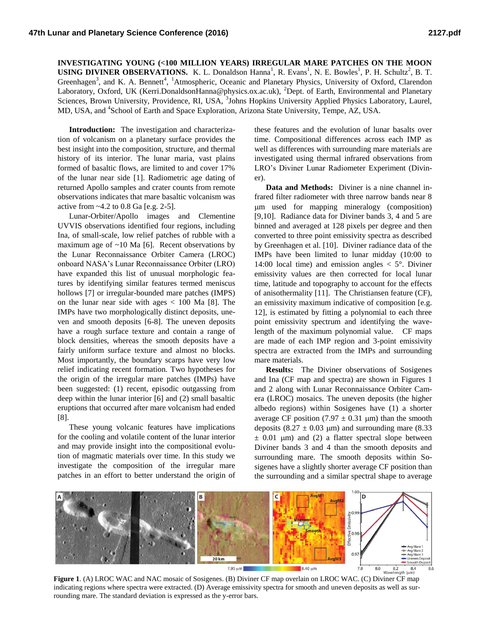## **INVESTIGATING YOUNG (<100 MILLION YEARS) IRREGULAR MARE PATCHES ON THE MOON USING DIVINER OBSERVATIONS.** K. L. Donaldson Hanna<sup>1</sup>, R. Evans<sup>1</sup>, N. E. Bowles<sup>1</sup>, P. H. Schultz<sup>2</sup>, B. T. Greenhagen<sup>3</sup>, and K. A. Bennett<sup>4</sup>, <sup>1</sup>Atmospheric, Oceanic and Planetary Physics, University of Oxford, Clarendon Laboratory, Oxford, UK (Kerri.DonaldsonHanna@physics.ox.ac.uk), <sup>2</sup>Dept. of Earth, Environmental and Planetary Sciences, Brown University, Providence, RI, USA, <sup>3</sup>Johns Hopkins University Applied Physics Laboratory, Laurel, MD, USA, and <sup>4</sup>School of Earth and Space Exploration, Arizona State University, Tempe, AZ, USA.

**Introduction:** The investigation and characterization of volcanism on a planetary surface provides the best insight into the composition, structure, and thermal history of its interior. The lunar maria, vast plains formed of basaltic flows, are limited to and cover 17% of the lunar near side [1]. Radiometric age dating of returned Apollo samples and crater counts from remote observations indicates that mare basaltic volcanism was active from ~4.2 to 0.8 Ga [e.g. 2-5].

Lunar-Orbiter/Apollo images and Clementine UVVIS observations identified four regions, including Ina, of small-scale, low relief patches of rubble with a maximum age of  $~10$  Ma [6]. Recent observations by the Lunar Reconnaissance Orbiter Camera (LROC) onboard NASA's Lunar Reconnaissance Orbiter (LRO) have expanded this list of unusual morphologic features by identifying similar features termed meniscus hollows [7] or irregular-bounded mare patches (IMPS) on the lunar near side with ages  $< 100$  Ma [8]. The IMPs have two morphologically distinct deposits, uneven and smooth deposits [6-8]. The uneven deposits have a rough surface texture and contain a range of block densities, whereas the smooth deposits have a fairly uniform surface texture and almost no blocks. Most importantly, the boundary scarps have very low relief indicating recent formation. Two hypotheses for the origin of the irregular mare patches (IMPs) have been suggested: (1) recent, episodic outgassing from deep within the lunar interior [6] and (2) small basaltic eruptions that occurred after mare volcanism had ended [8].

These young volcanic features have implications for the cooling and volatile content of the lunar interior and may provide insight into the compositional evolution of magmatic materials over time. In this study we investigate the composition of the irregular mare patches in an effort to better understand the origin of

these features and the evolution of lunar basalts over time. Compositional differences across each IMP as well as differences with surrounding mare materials are investigated using thermal infrared observations from LRO's Diviner Lunar Radiometer Experiment (Diviner).

**Data and Methods:** Diviner is a nine channel infrared filter radiometer with three narrow bands near 8 m used for mapping mineralogy (composition) [9,10]. Radiance data for Diviner bands 3, 4 and 5 are binned and averaged at 128 pixels per degree and then converted to three point emissivity spectra as described by Greenhagen et al. [10]. Diviner radiance data of the IMPs have been limited to lunar midday (10:00 to 14:00 local time) and emission angles  $<$  5°. Diviner emissivity values are then corrected for local lunar time, latitude and topography to account for the effects of anisothermality [11]. The Christiansen feature (CF), an emissivity maximum indicative of composition [e.g. 12], is estimated by fitting a polynomial to each three point emissivity spectrum and identifying the wavelength of the maximum polynomial value. CF maps are made of each IMP region and 3-point emissivity spectra are extracted from the IMPs and surrounding mare materials.

**Results:** The Diviner observations of Sosigenes and Ina (CF map and spectra) are shown in Figures 1 and 2 along with Lunar Reconnaissance Orbiter Camera (LROC) mosaics. The uneven deposits (the higher albedo regions) within Sosigenes have (1) a shorter average CF position (7.97  $\pm$  0.31 µm) than the smooth deposits  $(8.27 \pm 0.03 \text{ \mu m})$  and surrounding mare  $(8.33 \text{ \mu m})$  $\pm$  0.01 µm) and (2) a flatter spectral slope between Diviner bands 3 and 4 than the smooth deposits and surrounding mare. The smooth deposits within Sosigenes have a slightly shorter average CF position than the surrounding and a similar spectral shape to average



**Figure 1**. (A) LROC WAC and NAC mosaic of Sosigenes. (B) Diviner CF map overlain on LROC WAC. (C) Diviner CF map indicating regions where spectra were extracted. (D) Average emissivity spectra for smooth and uneven deposits as well as surrounding mare. The standard deviation is expressed as the y-error bars.